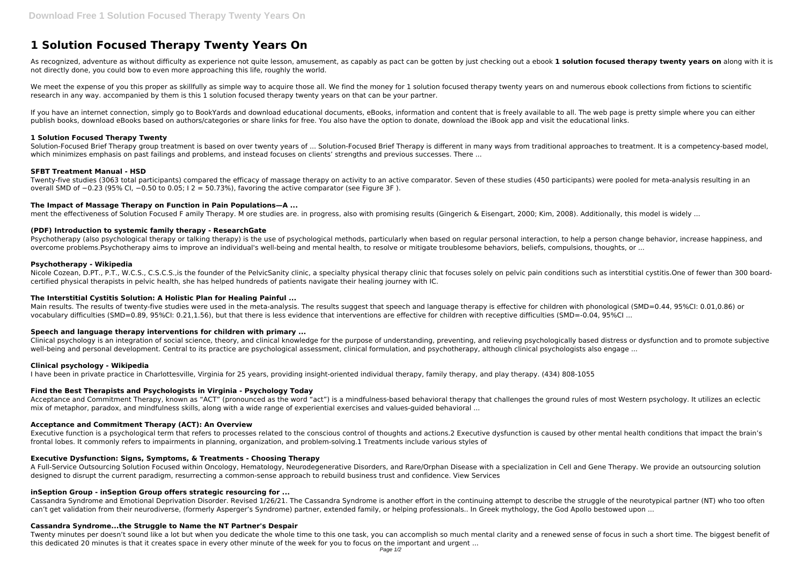# **1 Solution Focused Therapy Twenty Years On**

As recognized, adventure as without difficulty as experience not quite lesson, amusement, as capably as pact can be gotten by just checking out a ebook **1 solution focused therapy twenty years on** along with it is not directly done, you could bow to even more approaching this life, roughly the world.

We meet the expense of you this proper as skillfully as simple way to acquire those all. We find the money for 1 solution focused therapy twenty years on and numerous ebook collections from fictions to scientific research in any way. accompanied by them is this 1 solution focused therapy twenty years on that can be your partner.

Solution-Focused Brief Therapy group treatment is based on over twenty years of ... Solution-Focused Brief Therapy is different in many ways from traditional approaches to treatment. It is a competency-based model, which minimizes emphasis on past failings and problems, and instead focuses on clients' strengths and previous successes. There ...

If you have an internet connection, simply go to BookYards and download educational documents, eBooks, information and content that is freely available to all. The web page is pretty simple where you can either publish books, download eBooks based on authors/categories or share links for free. You also have the option to donate, download the iBook app and visit the educational links.

## **1 Solution Focused Therapy Twenty**

Nicole Cozean, D.PT., P.T., W.C.S., C.S.C.S., is the founder of the PelvicSanity clinic, a specialty physical therapy clinic that focuses solely on pelvic pain conditions such as interstitial cystitis. One of fewer than 30 certified physical therapists in pelvic health, she has helped hundreds of patients navigate their healing journey with IC.

# **SFBT Treatment Manual - HSD**

Twenty-five studies (3063 total participants) compared the efficacy of massage therapy on activity to an active comparator. Seven of these studies (450 participants) were pooled for meta-analysis resulting in an overall SMD of −0.23 (95% CI, −0.50 to 0.05; I 2 = 50.73%), favoring the active comparator (see Figure 3F ).

Clinical psychology is an integration of social science, theory, and clinical knowledge for the purpose of understanding, preventing, and relieving psychologically based distress or dysfunction and to promote subjective well-being and personal development. Central to its practice are psychological assessment, clinical formulation, and psychotherapy, although clinical psychologists also engage ...

# **The Impact of Massage Therapy on Function in Pain Populations—A ...**

ment the effectiveness of Solution Focused F amily Therapy. M ore studies are. in progress, also with promising results (Gingerich & Eisengart, 2000; Kim, 2008). Additionally, this model is widely ...

# **(PDF) Introduction to systemic family therapy - ResearchGate**

Psychotherapy (also psychological therapy or talking therapy) is the use of psychological methods, particularly when based on regular personal interaction, to help a person change behavior, increase happiness, and overcome problems.Psychotherapy aims to improve an individual's well-being and mental health, to resolve or mitigate troublesome behaviors, beliefs, compulsions, thoughts, or ...

Executive function is a psychological term that refers to processes related to the conscious control of thoughts and actions. 2 Executive dysfunction is caused by other mental health conditions that impact the brain's frontal lobes. It commonly refers to impairments in planning, organization, and problem-solving.1 Treatments include various styles of

#### **Psychotherapy - Wikipedia**

#### **The Interstitial Cystitis Solution: A Holistic Plan for Healing Painful ...**

Main results. The results of twenty-five studies were used in the meta-analysis. The results suggest that speech and language therapy is effective for children with phonological (SMD=0.44, 95%CI: 0.01,0.86) or vocabulary difficulties (SMD=0.89, 95%CI: 0.21,1.56), but that there is less evidence that interventions are effective for children with receptive difficulties (SMD=-0.04, 95%CI ...

#### **Speech and language therapy interventions for children with primary ...**

#### **Clinical psychology - Wikipedia**

I have been in private practice in Charlottesville, Virginia for 25 years, providing insight-oriented individual therapy, family therapy, and play therapy. (434) 808-1055

#### **Find the Best Therapists and Psychologists in Virginia - Psychology Today**

Acceptance and Commitment Therapy, known as "ACT" (pronounced as the word "act") is a mindfulness-based behavioral therapy that challenges the ground rules of most Western psychology. It utilizes an eclectic mix of metaphor, paradox, and mindfulness skills, along with a wide range of experiential exercises and values-guided behavioral ...

#### **Acceptance and Commitment Therapy (ACT): An Overview**

#### **Executive Dysfunction: Signs, Symptoms, & Treatments - Choosing Therapy**

A Full-Service Outsourcing Solution Focused within Oncology, Hematology, Neurodegenerative Disorders, and Rare/Orphan Disease with a specialization in Cell and Gene Therapy. We provide an outsourcing solution designed to disrupt the current paradigm, resurrecting a common-sense approach to rebuild business trust and confidence. View Services

#### **inSeption Group - inSeption Group offers strategic resourcing for ...**

Cassandra Syndrome and Emotional Deprivation Disorder. Revised 1/26/21. The Cassandra Syndrome is another effort in the continuing attempt to describe the struggle of the neurotypical partner (NT) who too often can't get validation from their neurodiverse, (formerly Asperger's Syndrome) partner, extended family, or helping professionals.. In Greek mythology, the God Apollo bestowed upon ...

# **Cassandra Syndrome...the Struggle to Name the NT Partner's Despair**

Twenty minutes per doesn't sound like a lot but when you dedicate the whole time to this one task, you can accomplish so much mental clarity and a renewed sense of focus in such a short time. The biggest benefit of this dedicated 20 minutes is that it creates space in every other minute of the week for you to focus on the important and urgent ...